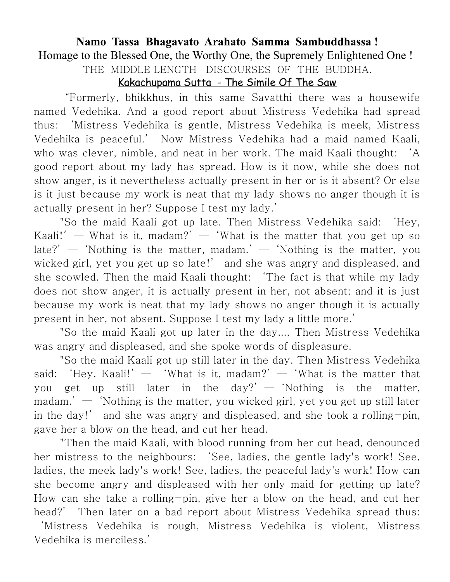## **Namo Tassa Bhagavato Arahato Samma Sambuddhassa !**

Homage to the Blessed One, the Worthy One, the Supremely Enlightened One !

THE MIDDLE LENGTH DISCOURSES OF THE BUDDHA.

## Kakachupama Sutta - The Simile Of The Saw

"Formerly, bhikkhus, in this same Savatthi there was a housewife named Vedehika. And a good report about Mistress Vedehika had spread thus: 'Mistress Vedehika is gentle, Mistress Vedehika is meek, Mistress Vedehika is peaceful.' Now Mistress Vedehika had a maid named Kaali, who was clever, nimble, and neat in her work. The maid Kaali thought: 'A good report about my lady has spread. How is it now, while she does not show anger, is it nevertheless actually present in her or is it absent? Or else is it just because my work is neat that my lady shows no anger though it is actually present in her? Suppose I test my lady.'

"So the maid Kaali got up late. Then Mistress Vedehika said: 'Hey, Kaali!'  $-$  What is it, madam?'  $-$  'What is the matter that you get up so late?'  $-$  'Nothing is the matter, madam.'  $-$  'Nothing is the matter, you wicked girl, yet you get up so late!' and she was angry and displeased, and she scowled. Then the maid Kaali thought: 'The fact is that while my lady does not show anger, it is actually present in her, not absent; and it is just because my work is neat that my lady shows no anger though it is actually present in her, not absent. Suppose I test my lady a little more.'

"So the maid Kaali got up later in the day..., Then Mistress Vedehika was angry and displeased, and she spoke words of displeasure.

"So the maid Kaali got up still later in the day. Then Mistress Vedehika said: 'Hey, Kaali!'  $-$  'What is it, madam?'  $-$  'What is the matter that you get up still later in the day?'  $-$  'Nothing is the matter,  $m$  madam.'  $-$  'Nothing is the matter, you wicked girl, yet you get up still later in the day!' and she was angry and displeased, and she took a rolling-pin, gave her a blow on the head, and cut her head.

"Then the maid Kaali, with blood running from her cut head, denounced her mistress to the neighbours: 'See, ladies, the gentle lady's work! See, ladies, the meek lady's work! See, ladies, the peaceful lady's work! How can she become angry and displeased with her only maid for getting up late? How can she take a rolling-pin, give her a blow on the head, and cut her head?' Then later on a bad report about Mistress Vedehika spread thus: 'Mistress Vedehika is rough, Mistress Vedehika is violent, Mistress

Vedehika is merciless.'